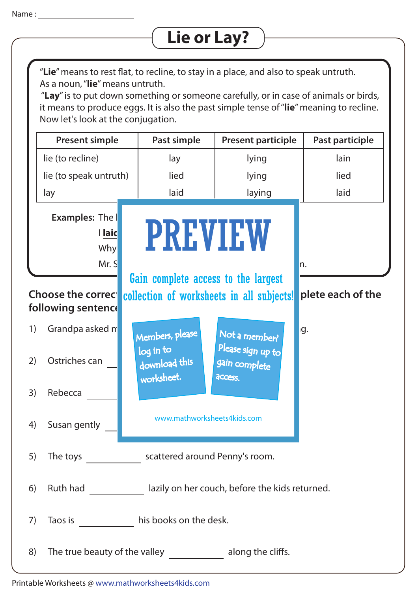